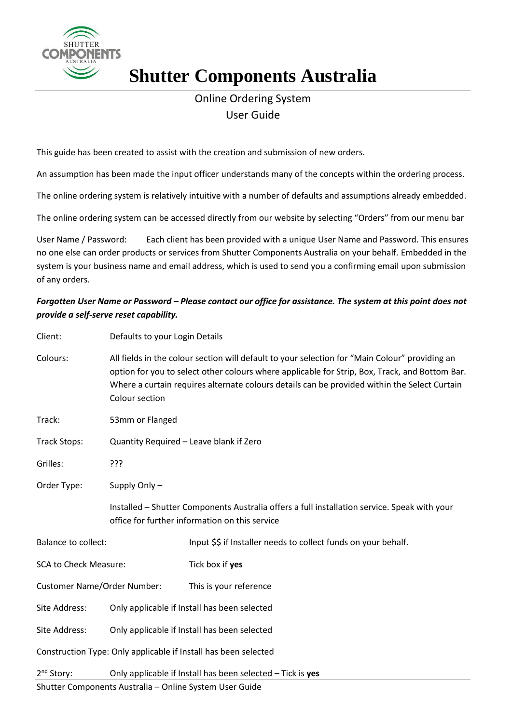

## **Shutter Components Australia**

## Online Ordering System User Guide

This guide has been created to assist with the creation and submission of new orders.

An assumption has been made the input officer understands many of the concepts within the ordering process.

The online ordering system is relatively intuitive with a number of defaults and assumptions already embedded.

The online ordering system can be accessed directly from our website by selecting "Orders" from our menu bar

User Name / Password: Each client has been provided with a unique User Name and Password. This ensures no one else can order products or services from Shutter Components Australia on your behalf. Embedded in the system is your business name and email address, which is used to send you a confirming email upon submission of any orders.

## *Forgotten User Name or Password – Please contact our office for assistance. The system at this point does not provide a self-serve reset capability.*

| Client:                            | Defaults to your Login Details                                                                                                                                                                                                                                                                                     |                                                                                                                                                |
|------------------------------------|--------------------------------------------------------------------------------------------------------------------------------------------------------------------------------------------------------------------------------------------------------------------------------------------------------------------|------------------------------------------------------------------------------------------------------------------------------------------------|
| Colours:                           | All fields in the colour section will default to your selection for "Main Colour" providing an<br>option for you to select other colours where applicable for Strip, Box, Track, and Bottom Bar.<br>Where a curtain requires alternate colours details can be provided within the Select Curtain<br>Colour section |                                                                                                                                                |
| Track:                             | 53mm or Flanged                                                                                                                                                                                                                                                                                                    |                                                                                                                                                |
| <b>Track Stops:</b>                | Quantity Required - Leave blank if Zero                                                                                                                                                                                                                                                                            |                                                                                                                                                |
| Grilles:                           | ???                                                                                                                                                                                                                                                                                                                |                                                                                                                                                |
| Order Type:                        | Supply Only-                                                                                                                                                                                                                                                                                                       |                                                                                                                                                |
|                                    |                                                                                                                                                                                                                                                                                                                    | Installed - Shutter Components Australia offers a full installation service. Speak with your<br>office for further information on this service |
| <b>Balance to collect:</b>         |                                                                                                                                                                                                                                                                                                                    | Input \$\$ if Installer needs to collect funds on your behalf.                                                                                 |
| <b>SCA to Check Measure:</b>       |                                                                                                                                                                                                                                                                                                                    | Tick box if yes                                                                                                                                |
| <b>Customer Name/Order Number:</b> |                                                                                                                                                                                                                                                                                                                    | This is your reference                                                                                                                         |
| Site Address:                      | Only applicable if Install has been selected                                                                                                                                                                                                                                                                       |                                                                                                                                                |
| Site Address:                      | Only applicable if Install has been selected                                                                                                                                                                                                                                                                       |                                                                                                                                                |
|                                    |                                                                                                                                                                                                                                                                                                                    | Construction Type: Only applicable if Install has been selected                                                                                |
| 2 <sup>nd</sup> Story:             | Only applicable if Install has been selected - Tick is yes                                                                                                                                                                                                                                                         |                                                                                                                                                |

Shutter Components Australia – Online System User Guide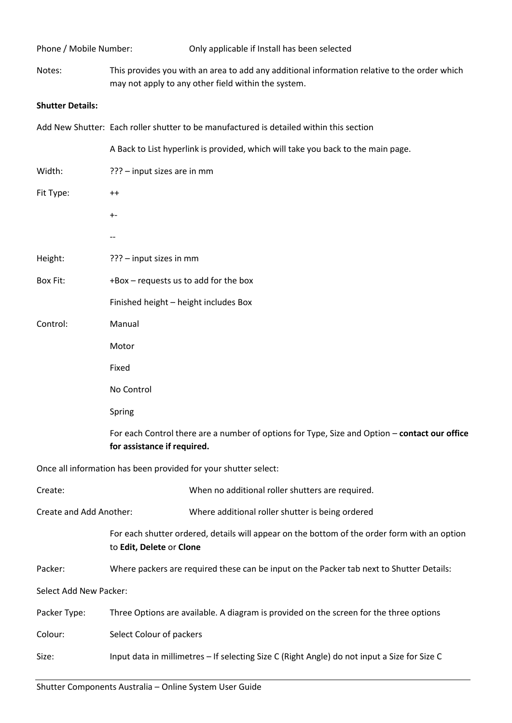| Phone / Mobile Number:        | Only applicable if Install has been selected                                                                                                        |  |  |
|-------------------------------|-----------------------------------------------------------------------------------------------------------------------------------------------------|--|--|
| Notes:                        | This provides you with an area to add any additional information relative to the order which<br>may not apply to any other field within the system. |  |  |
| <b>Shutter Details:</b>       |                                                                                                                                                     |  |  |
|                               | Add New Shutter: Each roller shutter to be manufactured is detailed within this section                                                             |  |  |
|                               | A Back to List hyperlink is provided, which will take you back to the main page.                                                                    |  |  |
| Width:                        | ??? - input sizes are in mm                                                                                                                         |  |  |
| Fit Type:                     | $^{++}$                                                                                                                                             |  |  |
|                               | $+ -$                                                                                                                                               |  |  |
|                               |                                                                                                                                                     |  |  |
| Height:                       | ??? - input sizes in mm                                                                                                                             |  |  |
| Box Fit:                      | +Box - requests us to add for the box                                                                                                               |  |  |
|                               | Finished height - height includes Box                                                                                                               |  |  |
| Control:                      | Manual                                                                                                                                              |  |  |
|                               | Motor                                                                                                                                               |  |  |
|                               | Fixed                                                                                                                                               |  |  |
|                               | No Control                                                                                                                                          |  |  |
|                               | Spring                                                                                                                                              |  |  |
|                               | For each Control there are a number of options for Type, Size and Option - contact our office<br>for assistance if required.                        |  |  |
|                               | Once all information has been provided for your shutter select:                                                                                     |  |  |
| Create:                       | When no additional roller shutters are required.                                                                                                    |  |  |
| Create and Add Another:       | Where additional roller shutter is being ordered                                                                                                    |  |  |
|                               | For each shutter ordered, details will appear on the bottom of the order form with an option<br>to Edit, Delete or Clone                            |  |  |
| Packer:                       | Where packers are required these can be input on the Packer tab next to Shutter Details:                                                            |  |  |
| <b>Select Add New Packer:</b> |                                                                                                                                                     |  |  |
| Packer Type:                  | Three Options are available. A diagram is provided on the screen for the three options                                                              |  |  |
| Colour:                       | Select Colour of packers                                                                                                                            |  |  |
| Size:                         | Input data in millimetres - If selecting Size C (Right Angle) do not input a Size for Size C                                                        |  |  |